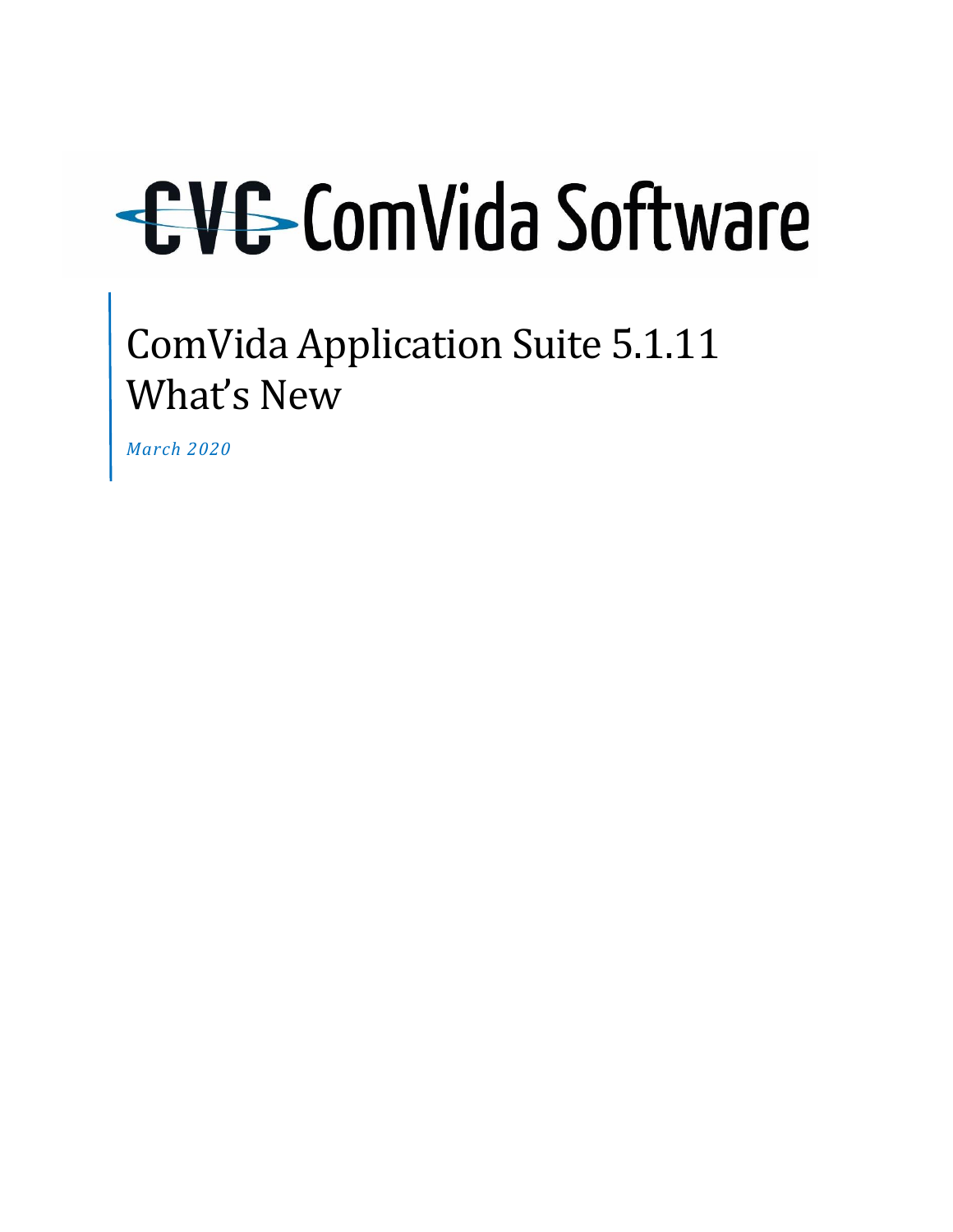# ComVida Application Suite 5.1.11 What's New

*March 2020*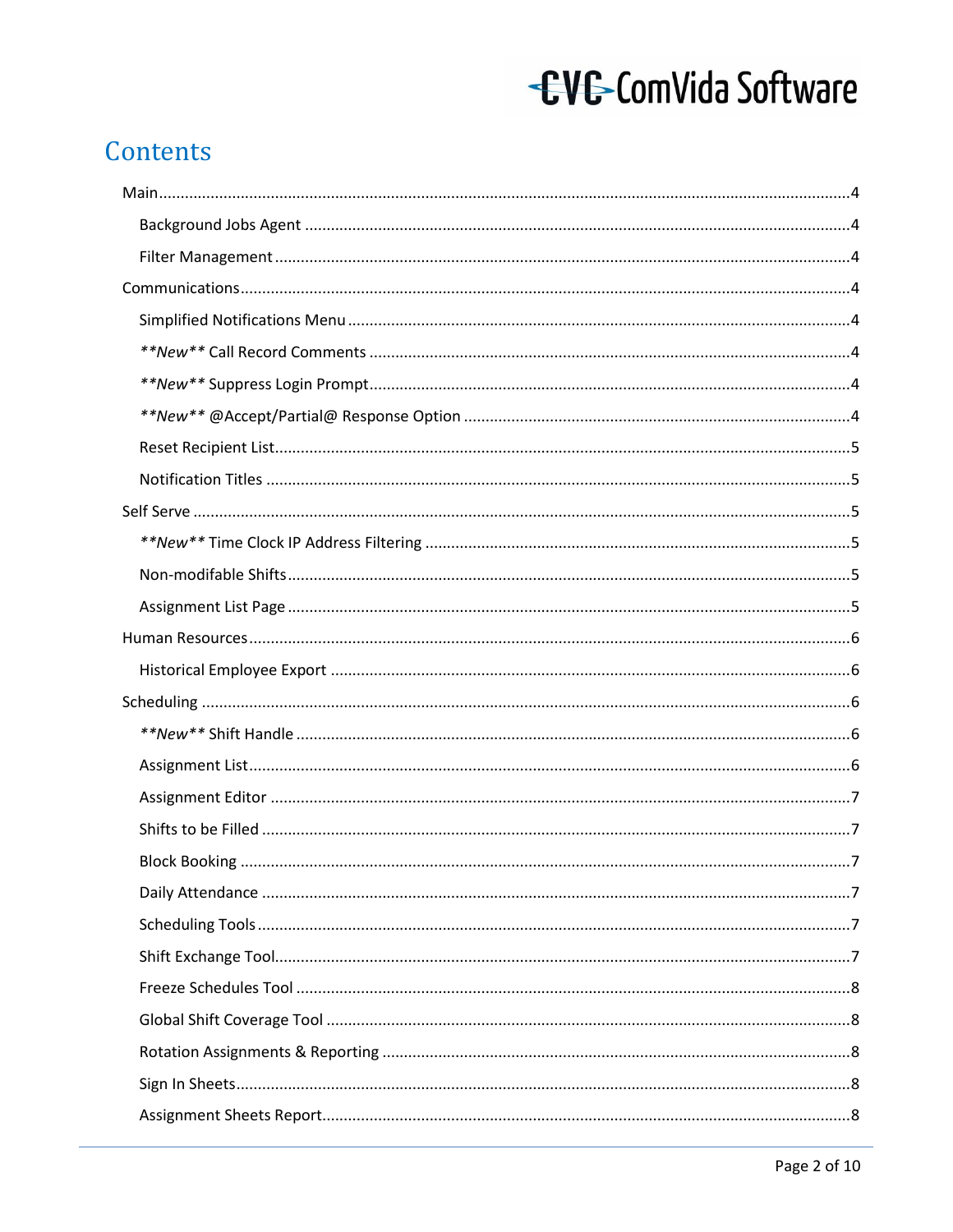#### Contents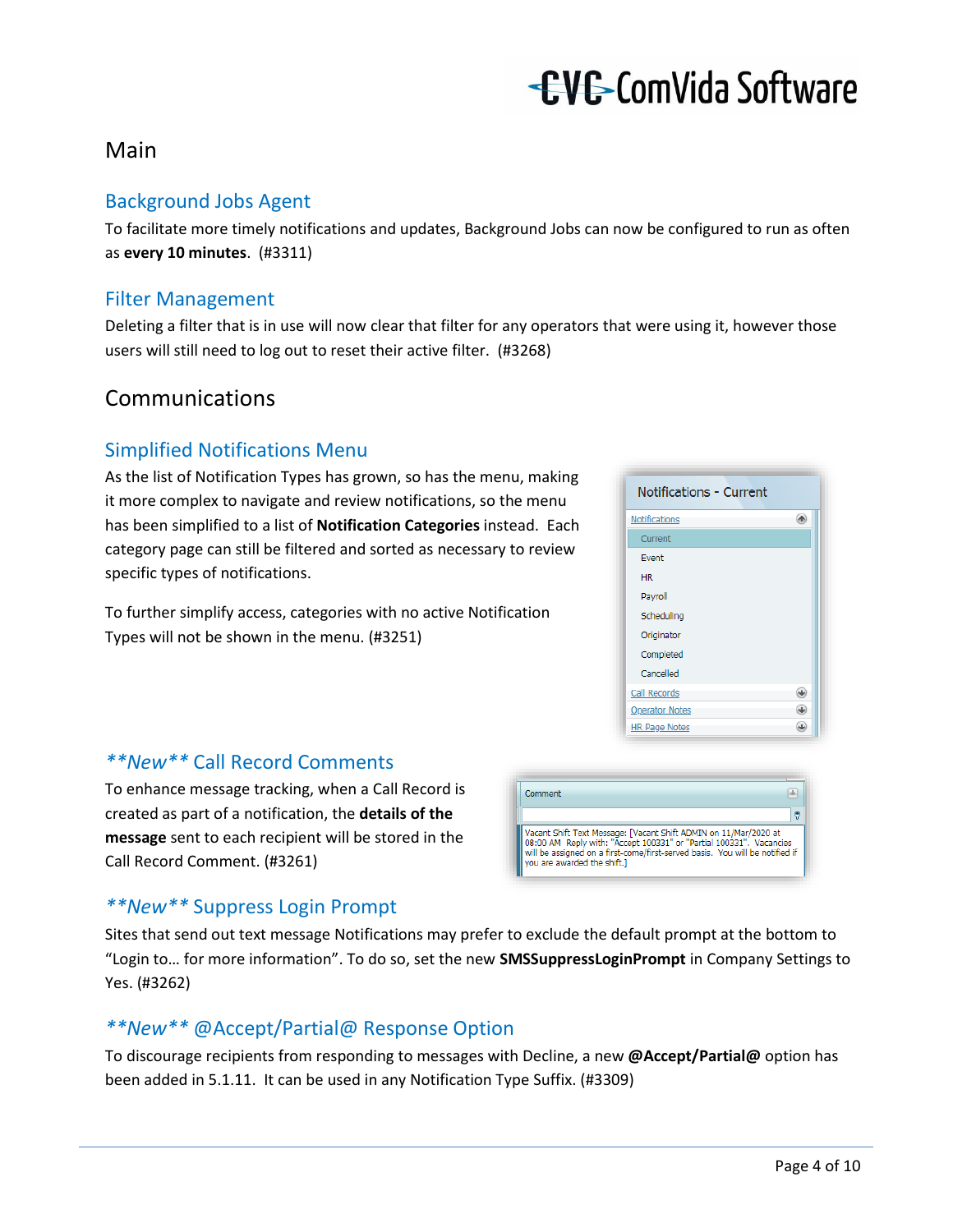#### <span id="page-3-0"></span>Main

#### <span id="page-3-1"></span>Background Jobs Agent

To facilitate more timely notifications and updates, Background Jobs can now be configured to run as often as **every 10 minutes**. (#3311)

#### <span id="page-3-2"></span>Filter Management

Deleting a filter that is in use will now clear that filter for any operators that were using it, however those users will still need to log out to reset their active filter. (#3268)

#### <span id="page-3-3"></span>Communications

#### <span id="page-3-4"></span>Simplified Notifications Menu

As the list of Notification Types has grown, so has the menu, making it more complex to navigate and review notifications, so the menu has been simplified to a list of **Notification Categories** instead. Each category page can still be filtered and sorted as necessary to review specific types of notifications.

To further simplify access, categories with no active Notification Types will not be shown in the menu. (#3251)



#### <span id="page-3-5"></span>*\*\*New\*\** Call Record Comments

To enhance message tracking, when a Call Record is created as part of a notification, the **details of the message** sent to each recipient will be stored in the Call Record Comment. (#3261)



#### <span id="page-3-6"></span>*\*\*New\*\** Suppress Login Prompt

Sites that send out text message Notifications may prefer to exclude the default prompt at the bottom to "Login to… for more information". To do so, set the new **SMSSuppressLoginPrompt** in Company Settings to Yes. (#3262)

#### <span id="page-3-7"></span>*\*\*New\*\** @Accept/Partial@ Response Option

To discourage recipients from responding to messages with Decline, a new **@Accept/Partial@** option has been added in 5.1.11. It can be used in any Notification Type Suffix. (#3309)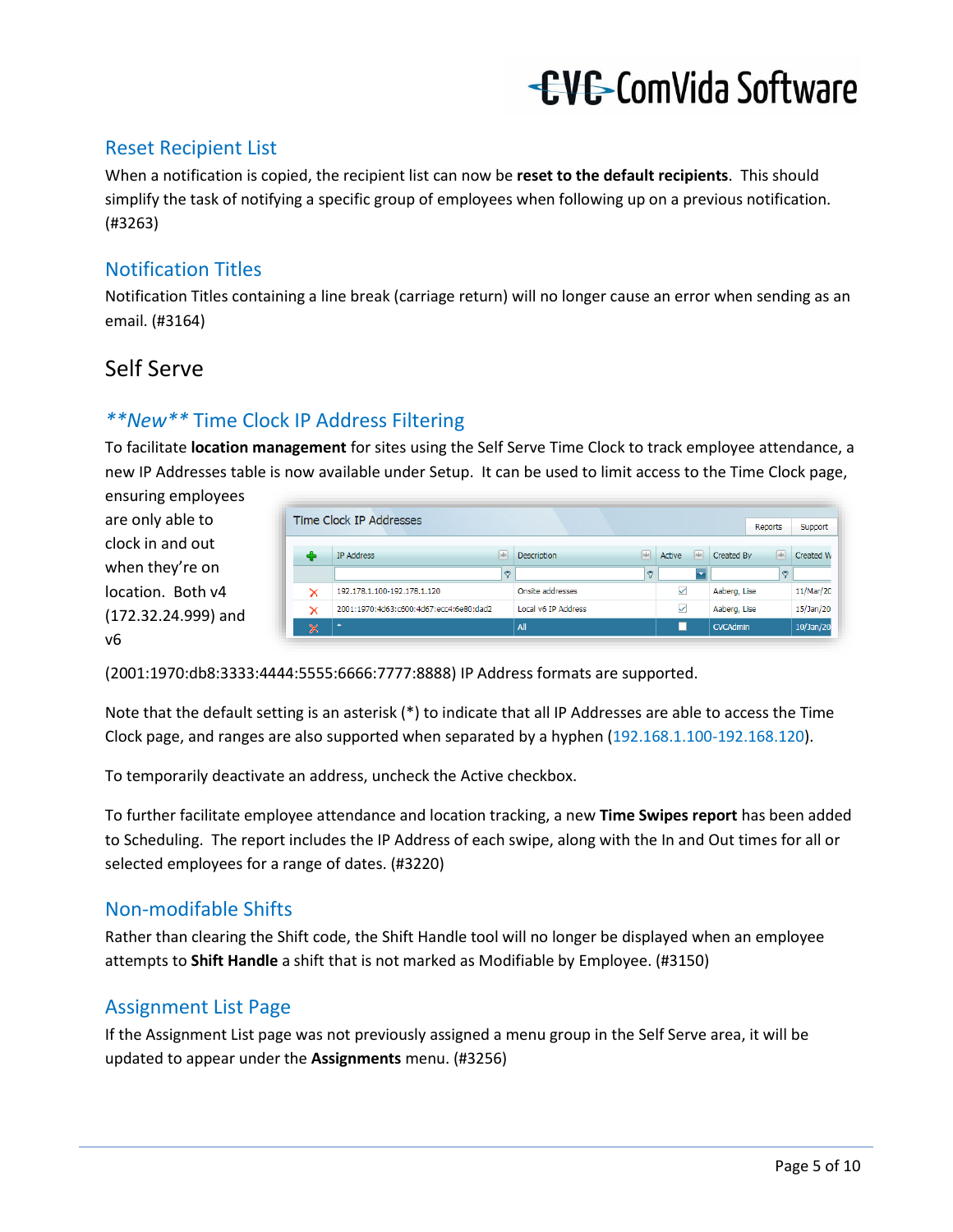#### <span id="page-4-0"></span>Reset Recipient List

When a notification is copied, the recipient list can now be **reset to the default recipients**. This should simplify the task of notifying a specific group of employees when following up on a previous notification. (#3263)

#### <span id="page-4-1"></span>Notification Titles

Notification Titles containing a line break (carriage return) will no longer cause an error when sending as an email. (#3164)

#### <span id="page-4-2"></span>Self Serve

#### <span id="page-4-3"></span>*\*\*New\*\** Time Clock IP Address Filtering

To facilitate **location management** for sites using the Self Serve Time Clock to track employee attendance, a new IP Addresses table is now available under Setup. It can be used to limit access to the Time Clock page,

ensuring employees are only able to clock in and out when they're on location. Both v4 (172.32.24.999) and v6

| × | 2001:1970:4d63:c600:4d67:ecc4:6e80:dad2<br>$\pm$ |              | Local v6 IP Address |          | ✓      |         | Aaberg, Lise            | 15/Jan/20<br>10/Jan/20 |
|---|--------------------------------------------------|--------------|---------------------|----------|--------|---------|-------------------------|------------------------|
| × | 192.178.1.100-192.178.1.120                      |              | Onsite addresses    |          | ✓      |         | Aaberg, Lise            | 11/Mar/20              |
|   |                                                  | <sub>2</sub> |                     | <b>P</b> |        | k.      | ۴                       |                        |
| 4 | <b>IP Address</b>                                | (ski)        | Description         | jak.     | Active | $ $ -k- | <b>GM</b><br>Created By | Created W              |
|   | Time Clock IP Addresses                          |              |                     |          |        |         | Reports                 | Support                |

(2001:1970:db8:3333:4444:5555:6666:7777:8888) IP Address formats are supported.

Note that the default setting is an asterisk (\*) to indicate that all IP Addresses are able to access the Time Clock page, and ranges are also supported when separated by a hyphen (192.168.1.100-192.168.120).

To temporarily deactivate an address, uncheck the Active checkbox.

To further facilitate employee attendance and location tracking, a new **Time Swipes report** has been added to Scheduling. The report includes the IP Address of each swipe, along with the In and Out times for all or selected employees for a range of dates. (#3220)

#### <span id="page-4-4"></span>Non-modifable Shifts

Rather than clearing the Shift code, the Shift Handle tool will no longer be displayed when an employee attempts to **Shift Handle** a shift that is not marked as Modifiable by Employee. (#3150)

#### <span id="page-4-5"></span>Assignment List Page

If the Assignment List page was not previously assigned a menu group in the Self Serve area, it will be updated to appear under the **Assignments** menu. (#3256)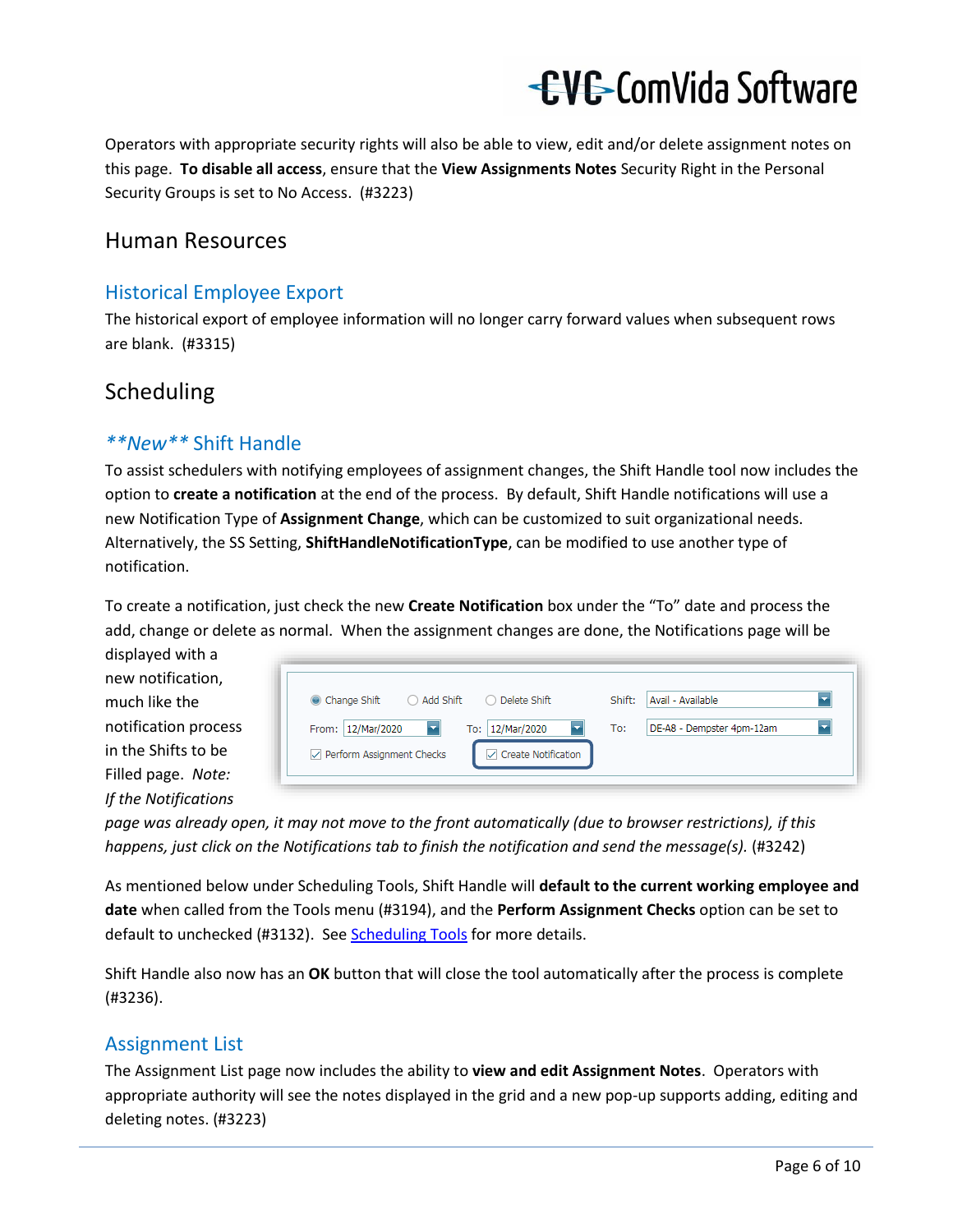Operators with appropriate security rights will also be able to view, edit and/or delete assignment notes on this page. **To disable all access**, ensure that the **View Assignments Notes** Security Right in the Personal Security Groups is set to No Access. (#3223)

#### <span id="page-5-0"></span>Human Resources

#### <span id="page-5-1"></span>Historical Employee Export

The historical export of employee information will no longer carry forward values when subsequent rows are blank. (#3315)

#### <span id="page-5-2"></span>Scheduling

#### <span id="page-5-3"></span>*\*\*New\*\** Shift Handle

To assist schedulers with notifying employees of assignment changes, the Shift Handle tool now includes the option to **create a notification** at the end of the process. By default, Shift Handle notifications will use a new Notification Type of **Assignment Change**, which can be customized to suit organizational needs. Alternatively, the SS Setting, **ShiftHandleNotificationType**, can be modified to use another type of notification.

To create a notification, just check the new **Create Notification** box under the "To" date and process the add, change or delete as normal. When the assignment changes are done, the Notifications page will be

displayed with a new notification, much like the notification process in the Shifts to be Filled page. *Note: If the Notifications* 

| Change Shift<br>◯ Add Shift<br>◯ Delete Shift                | Shift: | Avail - Available         |  |
|--------------------------------------------------------------|--------|---------------------------|--|
| From: 12/Mar/2020<br>12/Mar/2020<br>œ<br>×<br>To:            | To:    | DE-A8 - Dempster 4pm-12am |  |
| <b>Create Notification</b><br>Perform Assignment Checks<br>✓ |        |                           |  |

*page was already open, it may not move to the front automatically (due to browser restrictions), if this happens, just click on the Notifications tab to finish the notification and send the message(s).* (#3242)

As mentioned below under Scheduling Tools, Shift Handle will **default to the current working employee and date** when called from the Tools menu (#3194), and the **Perform Assignment Checks** option can be set to default to unchecked (#3132). Se[e Scheduling Tools](#page-6-4) for more details.

Shift Handle also now has an **OK** button that will close the tool automatically after the process is complete (#3236).

#### <span id="page-5-4"></span>Assignment List

The Assignment List page now includes the ability to **view and edit Assignment Notes**. Operators with appropriate authority will see the notes displayed in the grid and a new pop-up supports adding, editing and deleting notes. (#3223)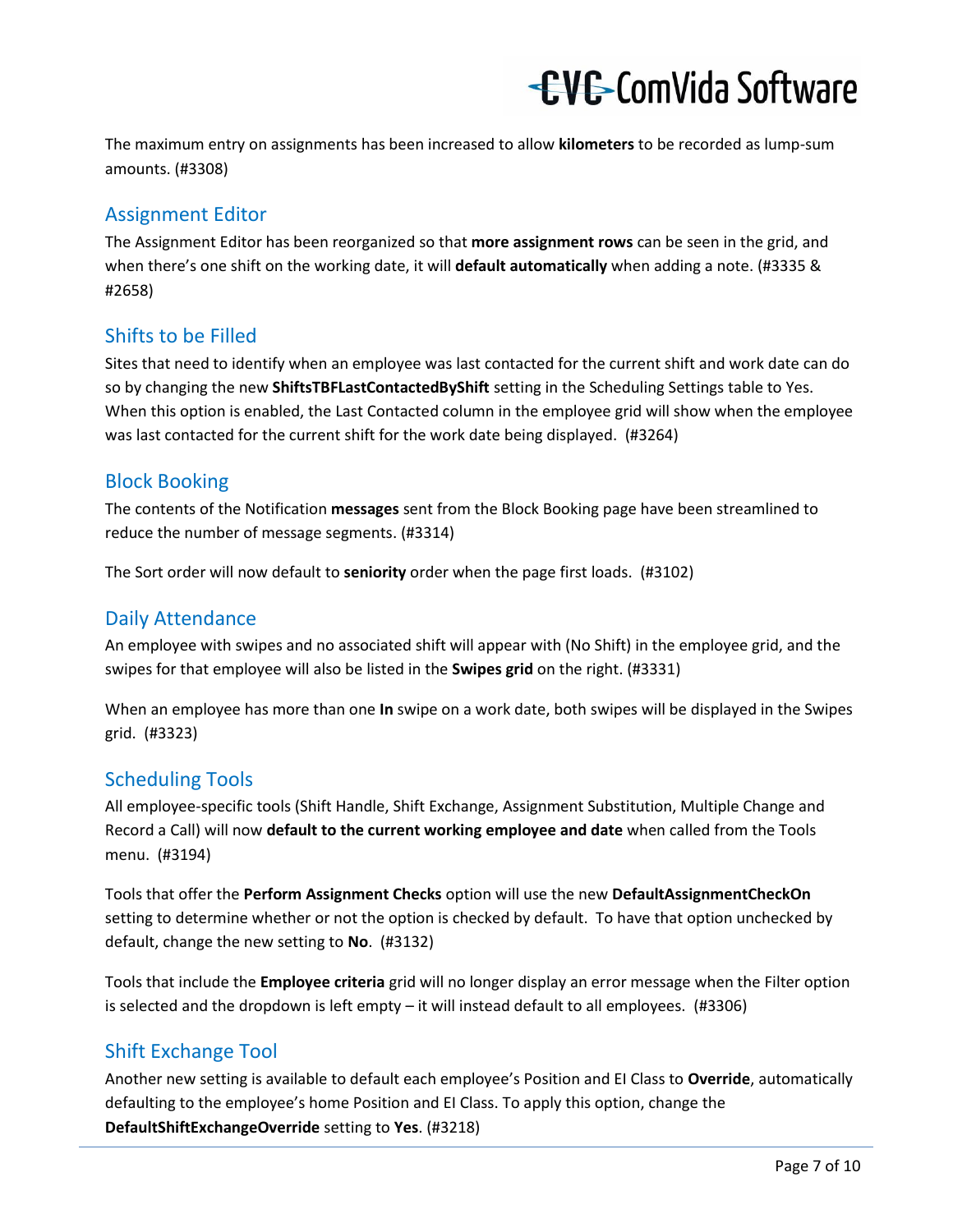The maximum entry on assignments has been increased to allow **kilometers** to be recorded as lump-sum amounts. (#3308)

#### <span id="page-6-0"></span>Assignment Editor

The Assignment Editor has been reorganized so that **more assignment rows** can be seen in the grid, and when there's one shift on the working date, it will **default automatically** when adding a note. (#3335 & #2658)

#### <span id="page-6-1"></span>Shifts to be Filled

Sites that need to identify when an employee was last contacted for the current shift and work date can do so by changing the new **ShiftsTBFLastContactedByShift** setting in the Scheduling Settings table to Yes. When this option is enabled, the Last Contacted column in the employee grid will show when the employee was last contacted for the current shift for the work date being displayed. (#3264)

#### <span id="page-6-2"></span>Block Booking

The contents of the Notification **messages** sent from the Block Booking page have been streamlined to reduce the number of message segments. (#3314)

The Sort order will now default to **seniority** order when the page first loads. (#3102)

#### <span id="page-6-3"></span>Daily Attendance

An employee with swipes and no associated shift will appear with (No Shift) in the employee grid, and the swipes for that employee will also be listed in the **Swipes grid** on the right. (#3331)

When an employee has more than one **In** swipe on a work date, both swipes will be displayed in the Swipes grid. (#3323)

#### <span id="page-6-4"></span>Scheduling Tools

All employee-specific tools (Shift Handle, Shift Exchange, Assignment Substitution, Multiple Change and Record a Call) will now **default to the current working employee and date** when called from the Tools menu. (#3194)

Tools that offer the **Perform Assignment Checks** option will use the new **DefaultAssignmentCheckOn** setting to determine whether or not the option is checked by default. To have that option unchecked by default, change the new setting to **No**. (#3132)

Tools that include the **Employee criteria** grid will no longer display an error message when the Filter option is selected and the dropdown is left empty – it will instead default to all employees.(#3306)

#### <span id="page-6-5"></span>Shift Exchange Tool

Another new setting is available to default each employee's Position and EI Class to **Override**, automatically defaulting to the employee's home Position and EI Class. To apply this option, change the **DefaultShiftExchangeOverride** setting to **Yes**. (#3218)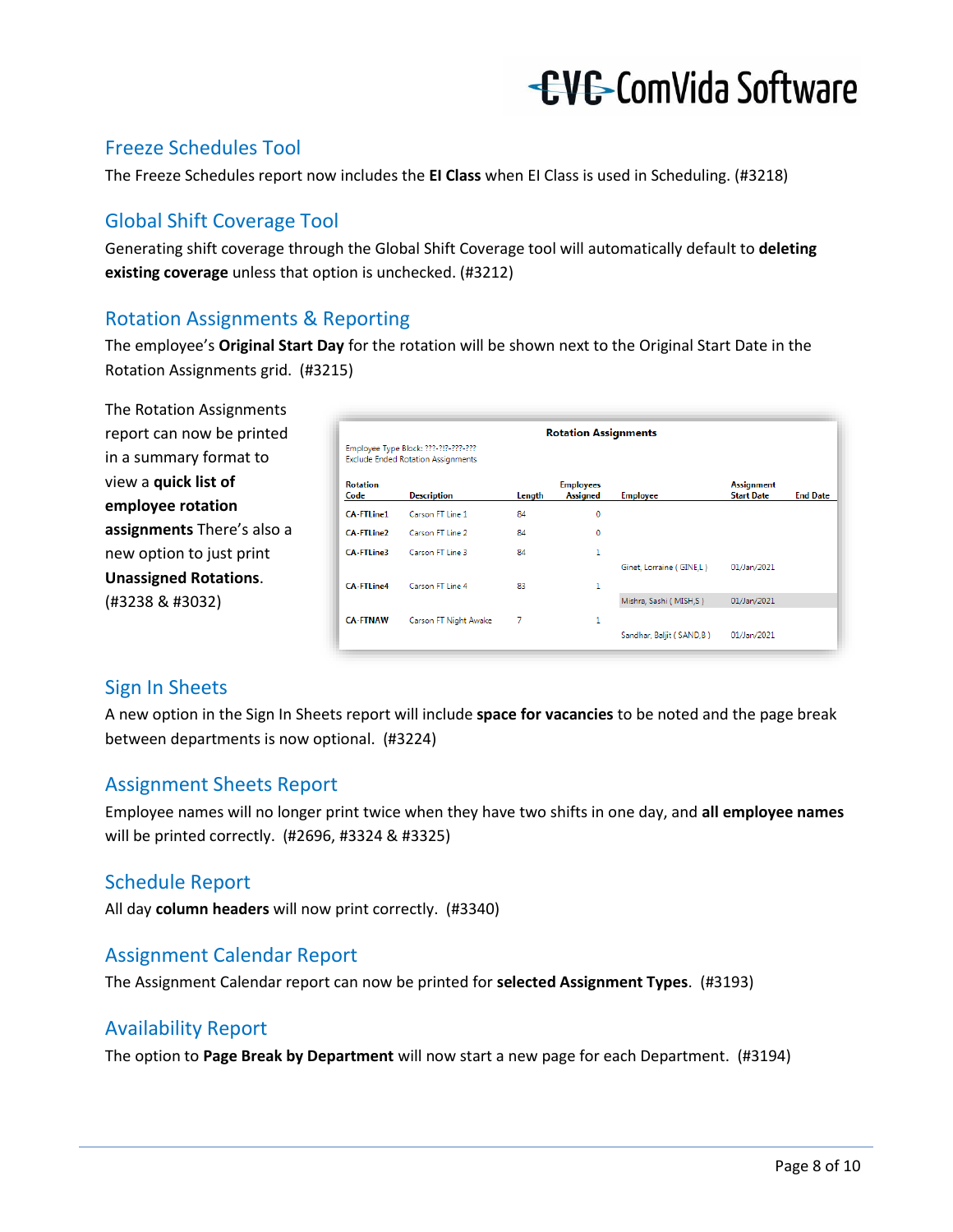#### <span id="page-7-0"></span>Freeze Schedules Tool

The Freeze Schedules report now includes the **EI Class** when EI Class is used in Scheduling. (#3218)

#### <span id="page-7-1"></span>Global Shift Coverage Tool

Generating shift coverage through the Global Shift Coverage tool will automatically default to **deleting existing coverage** unless that option is unchecked. (#3212)

#### <span id="page-7-2"></span>Rotation Assignments & Reporting

The employee's **Original Start Day** for the rotation will be shown next to the Original Start Date in the Rotation Assignments grid. (#3215)

The Rotation Assignments report can now be printed in a summary format to view a **quick list of employee rotation assignments** There's also a new option to just print **Unassigned Rotations**. (#3238 & #3032)

| <b>Rotation Assignments</b><br>Employee Type Block: ???-?!?-???-???<br><b>Exclude Ended Rotation Assignments</b> |                       |        |                                     |                          |                                        |                 |  |  |  |  |  |  |
|------------------------------------------------------------------------------------------------------------------|-----------------------|--------|-------------------------------------|--------------------------|----------------------------------------|-----------------|--|--|--|--|--|--|
| <b>Rotation</b><br>Code                                                                                          | <b>Description</b>    | Length | <b>Employees</b><br><b>Assigned</b> | <b>Employee</b>          | <b>Assignment</b><br><b>Start Date</b> | <b>End Date</b> |  |  |  |  |  |  |
| <b>CA-FTLine1</b>                                                                                                | Carson FT Line 1      | 84     | 0                                   |                          |                                        |                 |  |  |  |  |  |  |
| <b>CA-FTLine2</b>                                                                                                | Carson FT Line 2      | 84     | 0                                   |                          |                                        |                 |  |  |  |  |  |  |
| <b>CA-FTLine3</b>                                                                                                | Carson FT Line 3      | 84     | 1                                   |                          |                                        |                 |  |  |  |  |  |  |
|                                                                                                                  |                       |        |                                     | Ginet, Lorraine (GINE,L) | 01/Jan/2021                            |                 |  |  |  |  |  |  |
| <b>CA-FTLine4</b>                                                                                                | Carson FT Line 4      | 83     | 1                                   |                          |                                        |                 |  |  |  |  |  |  |
|                                                                                                                  |                       |        |                                     | Mishra, Sashi (MISH,S)   | 01/Jan/2021                            |                 |  |  |  |  |  |  |
| <b>CA-FTNAW</b>                                                                                                  | Carson FT Night Awake | 7      | 1                                   | Sandhar, Baljit (SAND,B) | 01/Jan/2021                            |                 |  |  |  |  |  |  |

#### <span id="page-7-3"></span>Sign In Sheets

A new option in the Sign In Sheets report will include **space for vacancies** to be noted and the page break between departments is now optional. (#3224)

#### <span id="page-7-4"></span>Assignment Sheets Report

Employee names will no longer print twice when they have two shifts in one day, and **all employee names** will be printed correctly. (#2696, #3324 & #3325)

#### <span id="page-7-5"></span>Schedule Report

All day **column headers** will now print correctly. (#3340)

#### <span id="page-7-6"></span>Assignment Calendar Report

The Assignment Calendar report can now be printed for **selected Assignment Types**. (#3193)

#### <span id="page-7-7"></span>Availability Report

The option to **Page Break by Department** will now start a new page for each Department. (#3194)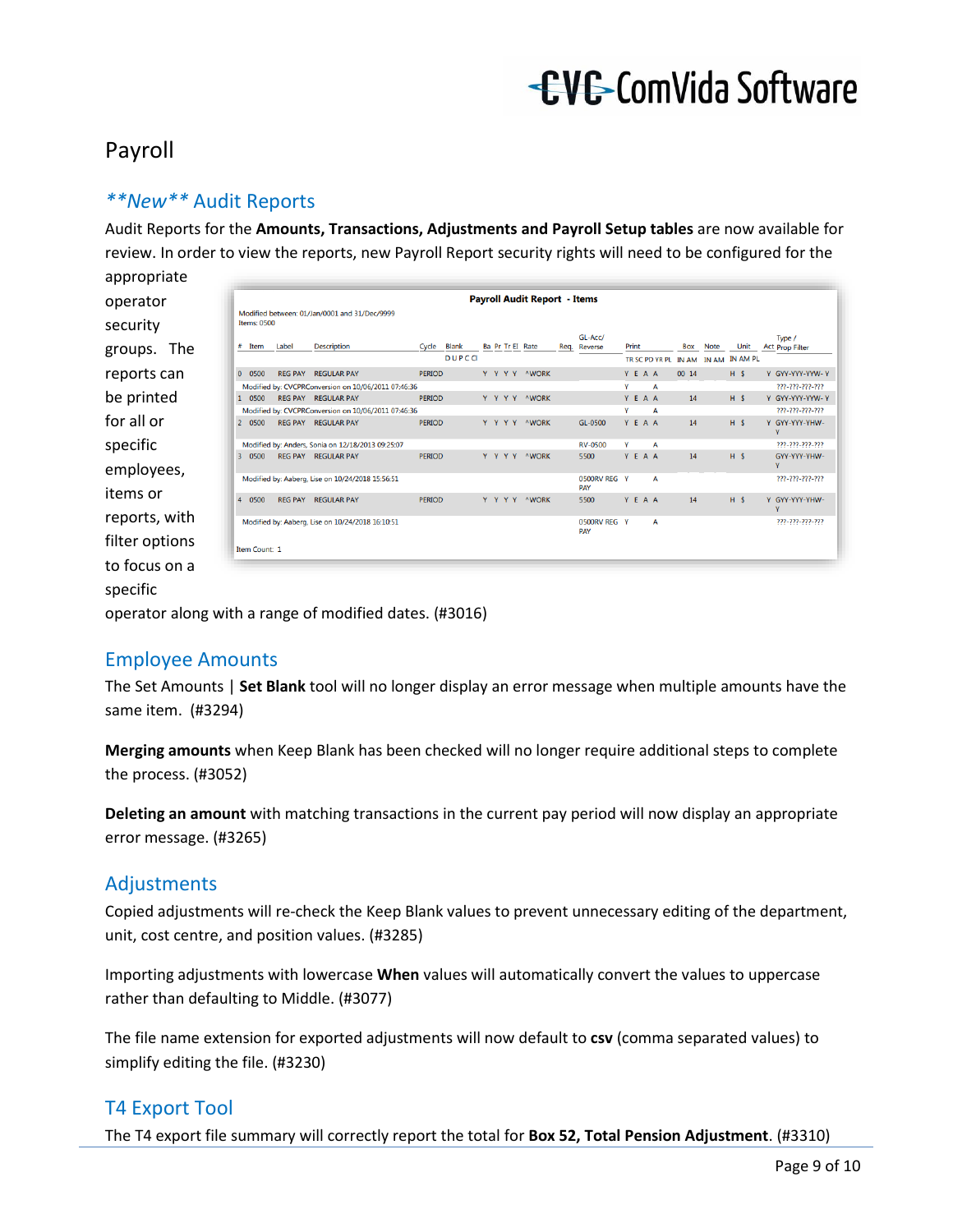#### <span id="page-8-0"></span>Payroll

#### <span id="page-8-1"></span>*\*\*New\*\** Audit Reports

Audit Reports for the **Amounts, Transactions, Adjustments and Payroll Setup tables** are now available for review. In order to view the reports, new Payroll Report security rights will need to be configured for the

appropriate operator security groups. The reports can be printed for all or specific employees, items or reports, with filter options to focus on a specific

|                | <b>Items: 0500</b> |       | Modified between: 01/Jan/0001 and 31/Dec/9999       |               |       |  |  | <b>Payroll Audit Report - Items</b> |                            |   |       |         |            |                                     |      |                                  |
|----------------|--------------------|-------|-----------------------------------------------------|---------------|-------|--|--|-------------------------------------|----------------------------|---|-------|---------|------------|-------------------------------------|------|----------------------------------|
|                | # Item             | Label | <b>Description</b>                                  | Cycle Blank   |       |  |  | Ba Pr Tr El Rate                    | $GL$ -Acc/<br>Reg. Reverse |   | Print |         | <b>Box</b> | <b>Note</b>                         | Unit | Type /<br><b>Act Prop Filter</b> |
|                |                    |       |                                                     |               | DUPCC |  |  |                                     |                            |   |       |         |            | TR SC PD YR PL IN AM IN AM IN AM PL |      |                                  |
|                | 0 0500             |       | <b>REG PAY REGULAR PAY</b>                          | <b>PFRIOD</b> |       |  |  | Y Y Y Y AWORK                       |                            |   |       | YFAA    | 0014       |                                     | H S  | Y GYY-YYY-YYW-Y                  |
|                |                    |       | Modified by: CVCPRConversion on 10/06/2011 07:46:36 |               |       |  |  |                                     |                            | v |       | A       |            |                                     |      | 777-777-777-777                  |
|                | 1 0500             |       | REG PAY REGULAR PAY                                 | <b>PFRIOD</b> |       |  |  | Y Y Y Y AWORK                       |                            |   |       | Y F A A | 14         |                                     | H S  | Y GYY-YYY-YYW-Y                  |
|                |                    |       | Modified by: CVCPRConversion on 10/06/2011 07:46:36 |               |       |  |  |                                     |                            | v |       | A       |            |                                     |      | 777-777-777-777                  |
|                | 20500              |       | REG PAY REGULAR PAY                                 | <b>PFRIOD</b> |       |  |  | Y Y Y Y AWORK                       | $GI - 0500$                |   |       | Y F A A | 14         |                                     | H S  | Y GYY-YYY-YHW-<br>Y              |
|                |                    |       | Modified by: Anders, Sonia on 12/18/2013 09:25:07   |               |       |  |  |                                     | <b>RV-0500</b>             | Y |       | A       |            |                                     |      | 777-777-777-777                  |
|                | 3 0500             |       | <b>REG PAY REGULAR PAY</b>                          | <b>PERIOD</b> |       |  |  | Y Y Y Y AWORK                       | 5500                       |   |       | YEAA    | 14         |                                     | H S  | GYY-YYY-YHW-<br>Ÿ                |
|                |                    |       | Modified by: Aaberg, Lise on 10/24/2018 15:56:51    |               |       |  |  |                                     | 0500RV RFG Y<br>PAY        |   |       | A       |            |                                     |      | 222-222-222-222                  |
| $\overline{4}$ | 0500               |       | <b>REG PAY REGULAR PAY</b>                          | <b>PERIOD</b> |       |  |  | Y Y Y Y AWORK                       | 5500                       |   |       | Y E A A | 14         |                                     | H S  | Y GYY-YYY-YHW-<br>Y              |
|                | Item Count: 1      |       | Modified by: Aaberg, Lise on 10/24/2018 16:10:51    |               |       |  |  |                                     | 0500RV REG Y<br>PAY        |   |       | A       |            |                                     |      | 777-777-777-777                  |

operator along with a range of modified dates. (#3016)

#### <span id="page-8-2"></span>Employee Amounts

The Set Amounts | **Set Blank** tool will no longer display an error message when multiple amounts have the same item. (#3294)

**Merging amounts** when Keep Blank has been checked will no longer require additional steps to complete the process. (#3052)

**Deleting an amount** with matching transactions in the current pay period will now display an appropriate error message. (#3265)

#### <span id="page-8-3"></span>Adjustments

Copied adjustments will re-check the Keep Blank values to prevent unnecessary editing of the department, unit, cost centre, and position values. (#3285)

Importing adjustments with lowercase **When** values will automatically convert the values to uppercase rather than defaulting to Middle. (#3077)

The file name extension for exported adjustments will now default to **csv** (comma separated values) to simplify editing the file. (#3230)

#### <span id="page-8-4"></span>T4 Export Tool

The T4 export file summary will correctly report the total for **Box 52, Total Pension Adjustment**. (#3310)